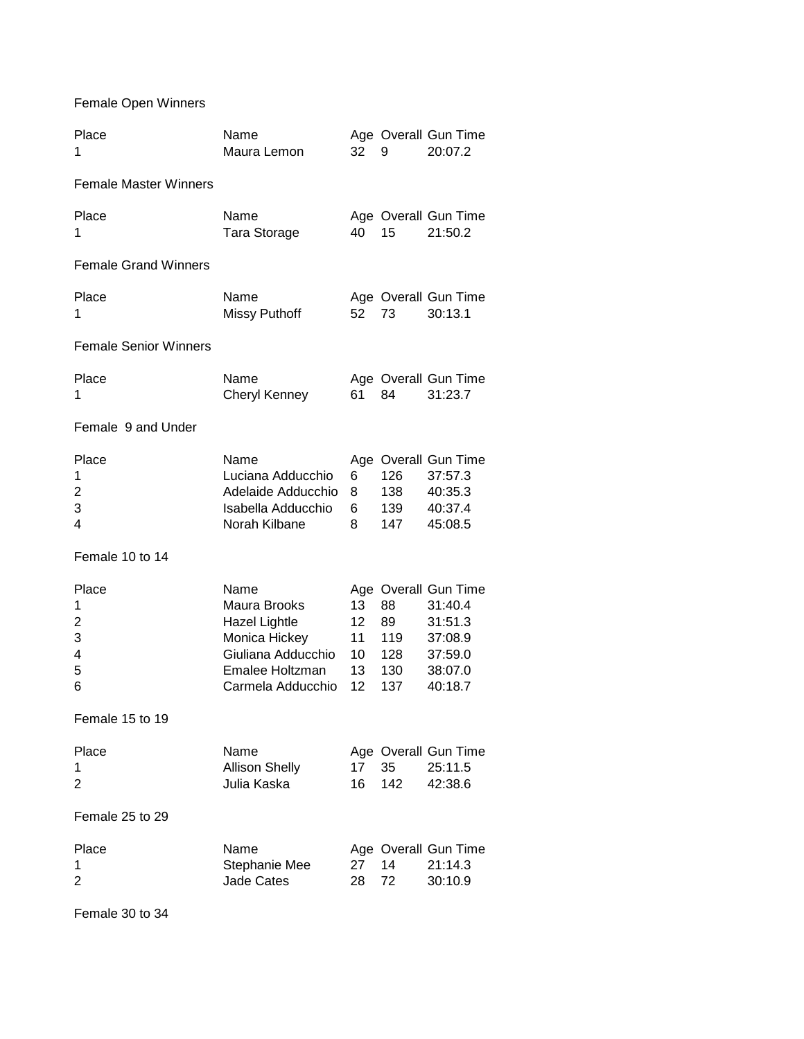Female Open Winners

| Place<br>1                          | Name<br>Maura Lemon                                                                                                         | 32                               | 9                                    | Age Overall Gun Time<br>20:07.2                                                        |
|-------------------------------------|-----------------------------------------------------------------------------------------------------------------------------|----------------------------------|--------------------------------------|----------------------------------------------------------------------------------------|
| <b>Female Master Winners</b>        |                                                                                                                             |                                  |                                      |                                                                                        |
| Place<br>1                          | Name<br>Tara Storage                                                                                                        | 40                               | 15                                   | Age Overall Gun Time<br>21:50.2                                                        |
| <b>Female Grand Winners</b>         |                                                                                                                             |                                  |                                      |                                                                                        |
| Place<br>1                          | Name<br><b>Missy Puthoff</b>                                                                                                | 52                               | 73                                   | Age Overall Gun Time<br>30:13.1                                                        |
| <b>Female Senior Winners</b>        |                                                                                                                             |                                  |                                      |                                                                                        |
| Place<br>1                          | Name<br><b>Cheryl Kenney</b>                                                                                                | 61                               | 84                                   | Age Overall Gun Time<br>31:23.7                                                        |
| Female 9 and Under                  |                                                                                                                             |                                  |                                      |                                                                                        |
| Place<br>1<br>2<br>3<br>4           | Name<br>Luciana Adducchio<br>Adelaide Adducchio<br>Isabella Adducchio<br>Norah Kilbane                                      | 6<br>8<br>6<br>8                 | 126<br>138<br>139<br>147             | Age Overall Gun Time<br>37:57.3<br>40:35.3<br>40:37.4<br>45:08.5                       |
| Female 10 to 14                     |                                                                                                                             |                                  |                                      |                                                                                        |
| Place<br>1<br>2<br>3<br>4<br>5<br>6 | Name<br>Maura Brooks<br><b>Hazel Lightle</b><br>Monica Hickey<br>Giuliana Adducchio<br>Emalee Holtzman<br>Carmela Adducchio | 13<br>12<br>11<br>10<br>13<br>12 | 88<br>89<br>119<br>128<br>130<br>137 | Age Overall Gun Time<br>31:40.4<br>31:51.3<br>37:08.9<br>37:59.0<br>38:07.0<br>40:18.7 |
| Female 15 to 19                     |                                                                                                                             |                                  |                                      |                                                                                        |
| Place<br>1<br>2                     | Name<br><b>Allison Shelly</b><br>Julia Kaska                                                                                | 17<br>16                         | 35<br>142                            | Age Overall Gun Time<br>25:11.5<br>42:38.6                                             |
| Female 25 to 29                     |                                                                                                                             |                                  |                                      |                                                                                        |
| Place<br>1<br>2                     | Name<br>Stephanie Mee<br><b>Jade Cates</b>                                                                                  | 27<br>28                         | 14<br>72                             | Age Overall Gun Time<br>21:14.3<br>30:10.9                                             |

Female 30 to 34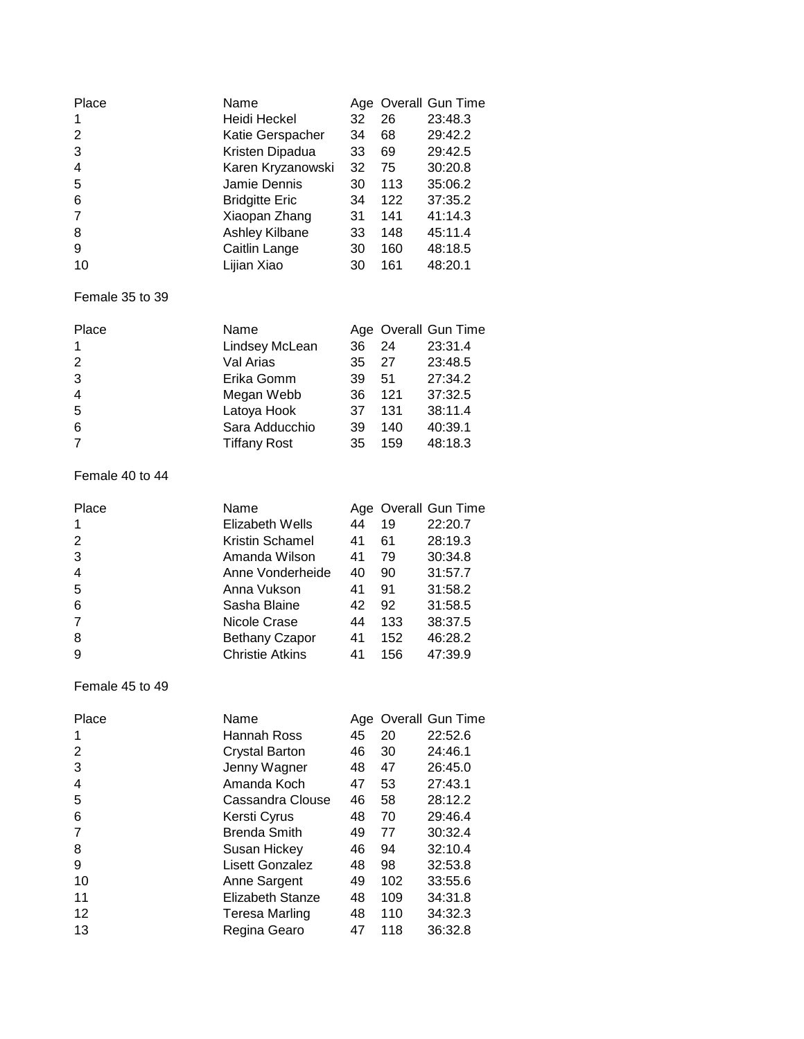| Place          | Name                  |    |     | Age Overall Gun Time |
|----------------|-----------------------|----|-----|----------------------|
|                | Heidi Heckel          | 32 | 26  | 23:48.3              |
| 2              | Katie Gerspacher      | 34 | 68  | 29:42.2              |
| 3              | Kristen Dipadua       | 33 | 69  | 29:42.5              |
| $\overline{4}$ | Karen Kryzanowski     | 32 | 75  | 30:20.8              |
| 5              | Jamie Dennis          | 30 | 113 | 35:06.2              |
| 6              | <b>Bridgitte Eric</b> | 34 | 122 | 37:35.2              |
| 7              | Xiaopan Zhang         | 31 | 141 | 41:14.3              |
| 8              | Ashley Kilbane        | 33 | 148 | 45:11.4              |
| 9              | Caitlin Lange         | 30 | 160 | 48:18.5              |
| 10             | Lijian Xiao           | 30 | 161 | 48:20.1              |

# Female 35 to 39

| Place          | Name                |    |     | Age Overall Gun Time |
|----------------|---------------------|----|-----|----------------------|
| $\mathbf 1$    | Lindsey McLean      | 36 | 24  | 23:31.4              |
| 2              | Val Arias           | 35 | 27  | 23:48.5              |
| 3              | Erika Gomm          | 39 | -51 | 27:34.2              |
| $\overline{4}$ | Megan Webb          | 36 | 121 | 37:32.5              |
| 5              | Latoya Hook         | 37 | 131 | 38:11.4              |
| 6              | Sara Adducchio      | 39 | 140 | 40:39.1              |
| $\overline{7}$ | <b>Tiffany Rost</b> | 35 | 159 | 48:18.3              |

### Female 40 to 44

| Place          | Name                   |    |     | Age Overall Gun Time |
|----------------|------------------------|----|-----|----------------------|
| 1              | Elizabeth Wells        | 44 | 19  | 22:20.7              |
| 2              | Kristin Schamel        | 41 | 61  | 28:19.3              |
| 3              | Amanda Wilson          | 41 | 79  | 30:34.8              |
| $\overline{4}$ | Anne Vonderheide       | 40 | 90  | 31:57.7              |
| 5              | Anna Vukson            | 41 | 91  | 31:58.2              |
| 6              | Sasha Blaine           | 42 | 92  | 31:58.5              |
| $\overline{7}$ | Nicole Crase           | 44 | 133 | 38:37.5              |
| 8              | <b>Bethany Czapor</b>  | 41 | 152 | 46:28.2              |
| 9              | <b>Christie Atkins</b> | 41 | 156 | 47:39.9              |

### Female 45 to 49

| Place | Name                  |    |     | Age Overall Gun Time |
|-------|-----------------------|----|-----|----------------------|
|       | Hannah Ross           | 45 | 20  | 22:52.6              |
| 2     | <b>Crystal Barton</b> | 46 | 30  | 24:46.1              |
| 3     | Jenny Wagner          | 48 | 47  | 26:45.0              |
| 4     | Amanda Koch           | 47 | 53  | 27:43.1              |
| 5     | Cassandra Clouse      | 46 | 58  | 28:12.2              |
| 6     | Kersti Cyrus          | 48 | 70  | 29:46.4              |
|       | <b>Brenda Smith</b>   | 49 | 77  | 30:32.4              |
| 8     | Susan Hickey          | 46 | 94  | 32:10.4              |
| 9     | Lisett Gonzalez       | 48 | 98  | 32:53.8              |
| 10    | Anne Sargent          | 49 | 102 | 33:55.6              |
| 11    | Elizabeth Stanze      | 48 | 109 | 34:31.8              |
| 12    | Teresa Marling        | 48 | 110 | 34:32.3              |
| 13    | Regina Gearo          | 47 | 118 | 36:32.8              |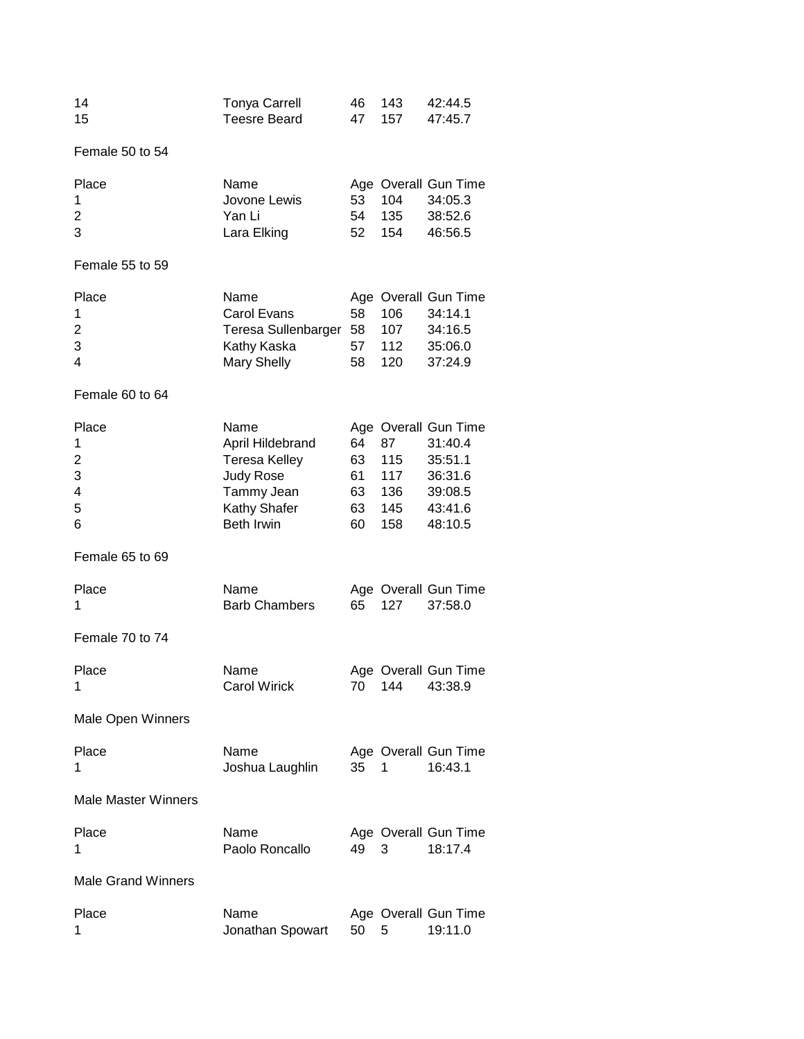| 14 | Tonya Carrell |  | 46 143 42:44.5 |
|----|---------------|--|----------------|
| 15 | Teesre Beard  |  | 47 157 47:45.7 |

Female 50 to 54

| Place | Name         |        |        | Age Overall Gun Time |
|-------|--------------|--------|--------|----------------------|
| -1    | Jovone Lewis |        | 53 104 | 34:05.3              |
| 2     | Yan Li       | 54     | -135   | 38:52.6              |
| 3     | Lara Elking  | 52 154 |        | 46:56.5              |

# Female 55 to 59

| Place | Name                       |     |      | Age Overall Gun Time |
|-------|----------------------------|-----|------|----------------------|
|       | Carol Evans                | 58. | 106. | 34:14.1              |
| 2     | Teresa Sullenbarger 58 107 |     |      | 34:16.5              |
| 3     | Kathy Kaska                | 57  | 112  | 35:06.0              |
| 4     | Mary Shelly                | 58. | 120  | 37:24.9              |
|       |                            |     |      |                      |

### Female 60 to 64

| Place          | Name                 |    |     | Age Overall Gun Time |
|----------------|----------------------|----|-----|----------------------|
|                | April Hildebrand     | 64 | 87  | 31:40.4              |
| 2              | <b>Teresa Kelley</b> | 63 | 115 | 35:51.1              |
| 3              | Judy Rose            | 61 | 117 | 36:31.6              |
| $\overline{4}$ | Tammy Jean           | 63 | 136 | 39:08.5              |
| -5             | Kathy Shafer         | 63 | 145 | 43:41.6              |
| 6              | Beth Irwin           | 60 | 158 | 48:10.5              |

# Female 65 to 69

| Place | <b>Name</b>          |  | Age Overall Gun Time |
|-------|----------------------|--|----------------------|
|       | <b>Barb Chambers</b> |  | 65 127 37:58.0       |

# Female 70 to 74

| Place | Name                |  | Age Overall Gun Time |
|-------|---------------------|--|----------------------|
|       | <b>Carol Wirick</b> |  | 70 144 43:38.9       |

# Male Open Winners

| Place | Name            |      | Age Overall Gun Time |
|-------|-----------------|------|----------------------|
|       | Joshua Laughlin | - 35 | 16:43.1              |

#### Male Master Winners

| Place | Name           |      | Age Overall Gun Time |
|-------|----------------|------|----------------------|
|       | Paolo Roncallo | 49 3 | 18:17.4              |

# Male Grand Winners

| Place | Name                  |  | Age Overall Gun Time |
|-------|-----------------------|--|----------------------|
|       | Jonathan Spowart 50 5 |  | 19:11.0              |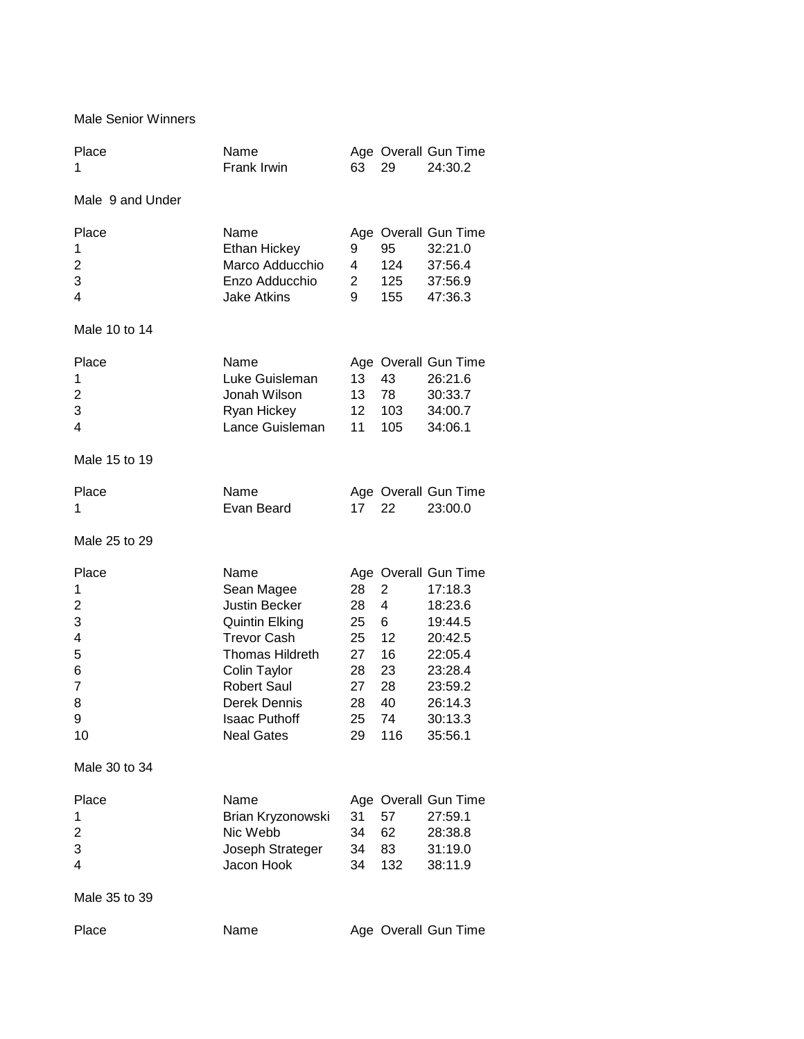Male Senior Winners

| Place<br>1                                               | Name<br>Frank Irwin                                                                                                                                                                                             | 63                                                       | 29                                                                  | Age Overall Gun Time<br>24:30.2                                                                                                    |
|----------------------------------------------------------|-----------------------------------------------------------------------------------------------------------------------------------------------------------------------------------------------------------------|----------------------------------------------------------|---------------------------------------------------------------------|------------------------------------------------------------------------------------------------------------------------------------|
| Male 9 and Under                                         |                                                                                                                                                                                                                 |                                                          |                                                                     |                                                                                                                                    |
| Place<br>1<br>2<br>3<br>4                                | Name<br>Ethan Hickey<br>Marco Adducchio<br>Enzo Adducchio<br><b>Jake Atkins</b>                                                                                                                                 | 9<br>4<br>$2^{\circ}$<br>9                               | 95<br>124<br>125<br>155                                             | Age Overall Gun Time<br>32:21.0<br>37:56.4<br>37:56.9<br>47:36.3                                                                   |
| Male 10 to 14                                            |                                                                                                                                                                                                                 |                                                          |                                                                     |                                                                                                                                    |
| Place<br>1<br>2<br>3<br>4<br>Male 15 to 19               | Name<br>Luke Guisleman<br>Jonah Wilson<br>Ryan Hickey<br>Lance Guisleman                                                                                                                                        | 13<br>13<br>12<br>11                                     | 43<br>78<br>103<br>105                                              | Age Overall Gun Time<br>26:21.6<br>30:33.7<br>34:00.7<br>34:06.1                                                                   |
| Place<br>1                                               | Name<br>Evan Beard                                                                                                                                                                                              | 17                                                       | 22                                                                  | Age Overall Gun Time<br>23:00.0                                                                                                    |
| Male 25 to 29                                            |                                                                                                                                                                                                                 |                                                          |                                                                     |                                                                                                                                    |
| Place<br>1<br>2<br>3<br>4<br>5<br>6<br>7<br>8<br>9<br>10 | Name<br>Sean Magee<br>Justin Becker<br><b>Quintin Elking</b><br><b>Trevor Cash</b><br><b>Thomas Hildreth</b><br>Colin Taylor<br><b>Robert Saul</b><br>Derek Dennis<br><b>Isaac Puthoff</b><br><b>Neal Gates</b> | 28<br>28<br>25<br>25<br>27<br>28<br>27<br>28<br>25<br>29 | $\overline{2}$<br>4<br>6<br>12<br>16<br>23<br>28<br>40<br>74<br>116 | Age Overall Gun Time<br>17:18.3<br>18:23.6<br>19:44.5<br>20:42.5<br>22:05.4<br>23:28.4<br>23:59.2<br>26:14.3<br>30:13.3<br>35:56.1 |
| Male 30 to 34                                            |                                                                                                                                                                                                                 |                                                          |                                                                     |                                                                                                                                    |
| Place<br>1<br>2<br>3<br>4                                | Name<br>Brian Kryzonowski<br>Nic Webb<br>Joseph Strateger<br>Jacon Hook                                                                                                                                         | 31<br>34<br>34<br>34                                     | 57<br>62<br>83<br>132                                               | Age Overall Gun Time<br>27:59.1<br>28:38.8<br>31:19.0<br>38:11.9                                                                   |
| Male 35 to 39                                            |                                                                                                                                                                                                                 |                                                          |                                                                     |                                                                                                                                    |
| Place                                                    | Name                                                                                                                                                                                                            |                                                          |                                                                     | Age Overall Gun Time                                                                                                               |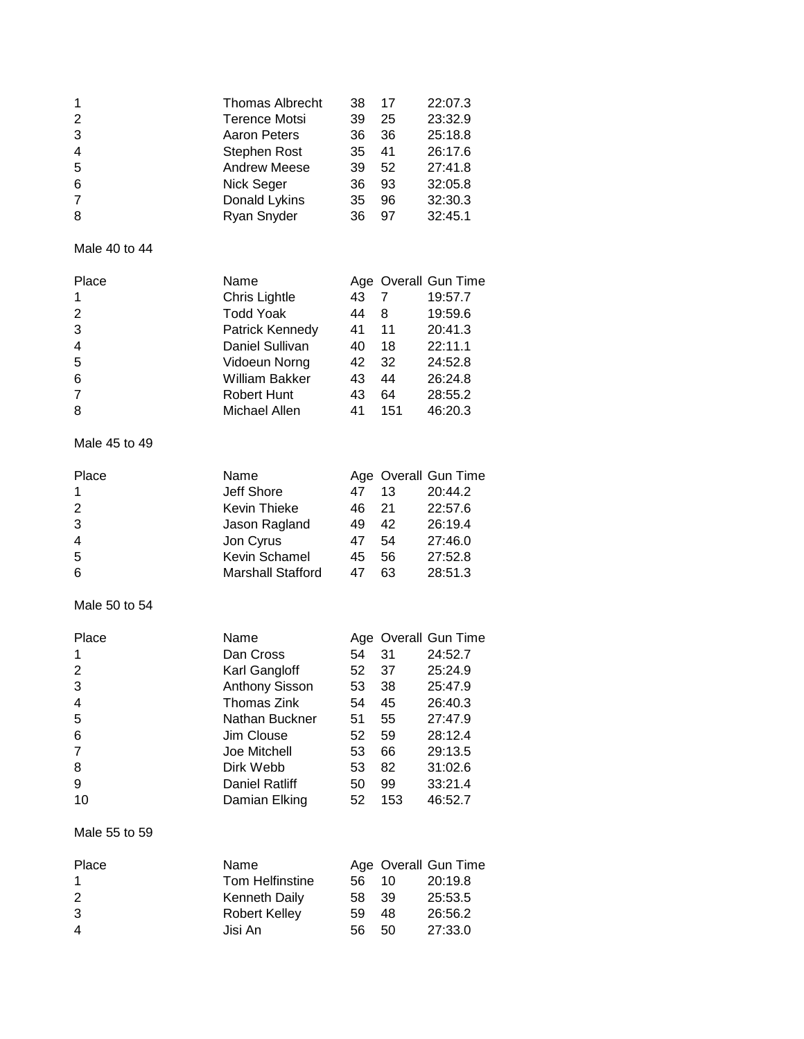| 1<br>$\overline{2}$<br>3<br>4<br>5<br>6<br>$\overline{7}$<br>8                     | <b>Thomas Albrecht</b><br><b>Terence Motsi</b><br><b>Aaron Peters</b><br>Stephen Rost<br><b>Andrew Meese</b><br>Nick Seger<br>Donald Lykins<br>Ryan Snyder                               | 38<br>39<br>36<br>35<br>39<br>36<br>35<br>36                          | 17<br>25<br>36<br>41<br>52<br>93<br>96<br>97              | 22:07.3<br>23:32.9<br>25:18.8<br>26:17.6<br>27:41.8<br>32:05.8<br>32:30.3<br>32:45.1                                               |
|------------------------------------------------------------------------------------|------------------------------------------------------------------------------------------------------------------------------------------------------------------------------------------|-----------------------------------------------------------------------|-----------------------------------------------------------|------------------------------------------------------------------------------------------------------------------------------------|
| Male 40 to 44                                                                      |                                                                                                                                                                                          |                                                                       |                                                           |                                                                                                                                    |
| Place<br>1<br>$\overline{2}$<br>3<br>4<br>5<br>6<br>$\overline{7}$<br>8            | Name<br>Chris Lightle<br><b>Todd Yoak</b><br>Patrick Kennedy<br>Daniel Sullivan<br>Vidoeun Norng<br><b>William Bakker</b><br><b>Robert Hunt</b><br>Michael Allen                         | 43<br>44<br>41<br>40<br>42<br>43<br>43<br>41                          | 7<br>8<br>11<br>18<br>32<br>44<br>64<br>151               | Age Overall Gun Time<br>19:57.7<br>19:59.6<br>20:41.3<br>22:11.1<br>24:52.8<br>26:24.8<br>28:55.2<br>46:20.3                       |
| Male 45 to 49                                                                      |                                                                                                                                                                                          |                                                                       |                                                           |                                                                                                                                    |
| Place<br>1<br>2<br>3<br>4<br>5<br>6                                                | Name<br>Jeff Shore<br>Kevin Thieke<br>Jason Ragland<br>Jon Cyrus<br>Kevin Schamel<br><b>Marshall Stafford</b>                                                                            | 47<br>46<br>49<br>47<br>45<br>47                                      | 13<br>21<br>42<br>54<br>56<br>63                          | Age Overall Gun Time<br>20:44.2<br>22:57.6<br>26:19.4<br>27:46.0<br>27:52.8<br>28:51.3                                             |
| Male 50 to 54                                                                      |                                                                                                                                                                                          |                                                                       |                                                           |                                                                                                                                    |
| Place<br>1<br>$\overline{2}$<br>3<br>4<br>5<br>6<br>$\overline{7}$<br>8<br>9<br>10 | Name<br>Dan Cross<br>Karl Gangloff<br><b>Anthony Sisson</b><br><b>Thomas Zink</b><br>Nathan Buckner<br>Jim Clouse<br>Joe Mitchell<br>Dirk Webb<br><b>Daniel Ratliff</b><br>Damian Elking | 54<br>52 <sub>2</sub><br>53<br>54<br>51<br>52<br>53<br>53<br>50<br>52 | 31<br>37<br>38<br>45<br>55<br>59<br>66<br>82<br>99<br>153 | Age Overall Gun Time<br>24:52.7<br>25:24.9<br>25:47.9<br>26:40.3<br>27:47.9<br>28:12.4<br>29:13.5<br>31:02.6<br>33:21.4<br>46:52.7 |
| Male 55 to 59                                                                      |                                                                                                                                                                                          |                                                                       |                                                           |                                                                                                                                    |
| Place<br>1<br>$\overline{\mathbf{c}}$<br>3<br>$\overline{4}$                       | Name<br><b>Tom Helfinstine</b><br><b>Kenneth Daily</b><br><b>Robert Kelley</b><br>Jisi An                                                                                                | 56<br>58<br>59<br>56                                                  | 10<br>39<br>48<br>50                                      | Age Overall Gun Time<br>20:19.8<br>25:53.5<br>26:56.2<br>27:33.0                                                                   |